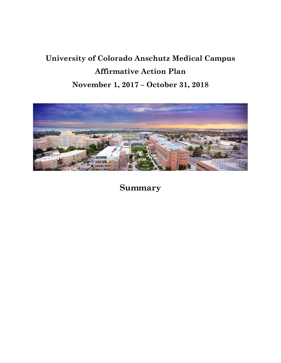# **University of Colorado Anschutz Medical Campus Affirmative Action Plan November 1, 2017 – October 31, 2018**



**Summary**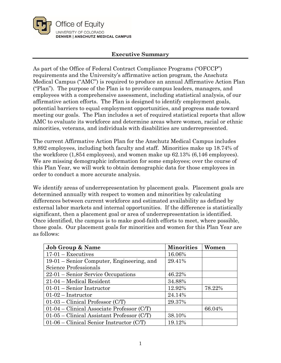

## **Executive Summary**

As part of the Office of Federal Contract Compliance Programs ("OFCCP") requirements and the University's affirmative action program, the Anschutz Medical Campus ("AMC") is required to produce an annual Affirmative Action Plan ("Plan"). The purpose of the Plan is to provide campus leaders, managers, and employees with a comprehensive assessment, including statistical analysis, of our affirmative action efforts. The Plan is designed to identify employment goals, potential barriers to equal employment opportunities, and progress made toward meeting our goals. The Plan includes a set of required statistical reports that allow AMC to evaluate its workforce and determine areas where women, racial or ethnic minorities, veterans, and individuals with disabilities are underrepresented.

The current Affirmative Action Plan for the Anschutz Medical Campus includes 9,892 employees, including both faculty and staff. Minorities make up 18.74% of the workforce (1,854 employees), and women make up 62.13% (6,146 employees). We are missing demographic information for some employees; over the course of this Plan Year, we will work to obtain demographic data for those employees in order to conduct a more accurate analysis.

We identify areas of underrepresentation by placement goals. Placement goals are determined annually with respect to women and minorities by calculating differences between current workforce and estimated availability as defined by external labor markets and internal opportunities. If the difference is statistically significant, then a placement goal or area of underrepresentation is identified. Once identified, the campus is to make good-faith efforts to meet, where possible, those goals. Our placement goals for minorities and women for this Plan Year are as follows:

| <b>Job Group &amp; Name</b>                  | <b>Minorities</b> | Women  |
|----------------------------------------------|-------------------|--------|
| $17-01$ – Executives                         | 16.06%            |        |
| 19-01 – Senior Computer, Engineering, and    | 29.41%            |        |
| Science Professionals                        |                   |        |
| $22-01$ – Senior Service Occupations         | 46.22%            |        |
| 21-04 – Medical Resident                     | 34.88%            |        |
| $01-01$ – Senior Instructor                  | 12.92%            | 78.22% |
| $01-02$ – Instructor                         | 24.14%            |        |
| $01-03$ – Clinical Professor (C/T)           | 29.37%            |        |
| $01-04$ – Clinical Associate Professor (C/T) |                   | 66.04% |
| $01-05$ – Clinical Assistant Professor (C/T) | 38.10%            |        |
| $01-06$ – Clinical Senior Instructor (C/T)   | 19.12%            |        |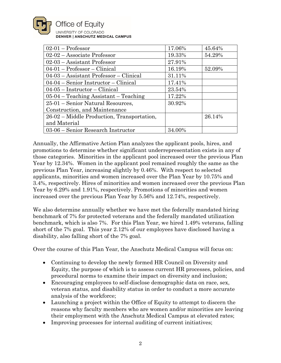

| $02-01$ – Professor                        | 17.06% | 45.64% |
|--------------------------------------------|--------|--------|
| $02-02 -$ Associate Professor              | 19.33% | 54.29% |
| $02-03$ – Assistant Professor              | 27.91% |        |
| $04-01$ – Professor – Clinical             | 16.19% | 52.09% |
| $04-03$ – Assistant Professor – Clinical   | 31.11% |        |
| $04-04$ – Senior Instructor – Clinical     | 17.41% |        |
| $04-05$ – Instructor – Clinical            | 23.54% |        |
| $05-04$ – Teaching Assistant – Teaching    | 17.22% |        |
| 25-01 – Senior Natural Resources,          | 30.92% |        |
| Construction, and Maintenance              |        |        |
| 26-02 – Middle Production, Transportation, |        | 26.14% |
| and Material                               |        |        |
| $03-06$ – Senior Research Instructor       | 34.00% |        |

Annually, the Affirmative Action Plan analyzes the applicant pools, hires, and promotions to determine whether significant underrepresentation exists in any of those categories. Minorities in the applicant pool increased over the previous Plan Year by 12.34%. Women in the applicant pool remained roughly the same as the previous Plan Year, increasing slightly by 0.46%. With respect to selected applicants, minorities and women increased over the Plan Year by 10.75% and 3.4%, respectively. Hires of minorities and women increased over the previous Plan Year by 6.29% and 1.91%, respectively. Promotions of minorities and women increased over the previous Plan Year by 5.56% and 12.74%, respectively.

We also determine annually whether we have met the federally mandated hiring benchmark of 7% for protected veterans and the federally mandated utilization benchmark, which is also 7%. For this Plan Year, we hired 1.49% veterans, falling short of the 7% goal. This year 2.12% of our employees have disclosed having a disability, also falling short of the 7% goal.

Over the course of this Plan Year, the Anschutz Medical Campus will focus on:

- Continuing to develop the newly formed HR Council on Diversity and Equity, the purpose of which is to assess current HR processes, policies, and procedural norms to examine their impact on diversity and inclusion;
- Encouraging employees to self-disclose demographic data on race, sex, veteran status, and disability status in order to conduct a more accurate analysis of the workforce;
- Launching a project within the Office of Equity to attempt to discern the reasons why faculty members who are women and/or minorities are leaving their employment with the Anschutz Medical Campus at elevated rates;
- Improving processes for internal auditing of current initiatives;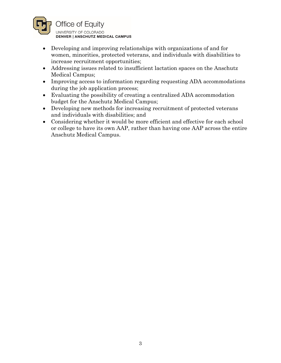

- Developing and improving relationships with organizations of and for women, minorities, protected veterans, and individuals with disabilities to increase recruitment opportunities;
- Addressing issues related to insufficient lactation spaces on the Anschutz Medical Campus;
- Improving access to information regarding requesting ADA accommodations during the job application process;
- Evaluating the possibility of creating a centralized ADA accommodation budget for the Anschutz Medical Campus;
- Developing new methods for increasing recruitment of protected veterans and individuals with disabilities; and
- Considering whether it would be more efficient and effective for each school or college to have its own AAP, rather than having one AAP across the entire Anschutz Medical Campus.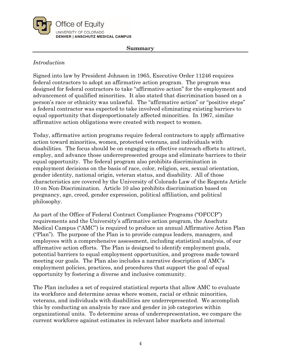

#### **Summary**

# *Introduction*

Signed into law by President Johnson in 1965, Executive Order 11246 requires federal contractors to adopt an affirmative action program. The program was designed for federal contractors to take "affirmative action" for the employment and advancement of qualified minorities. It also stated that discrimination based on a person's race or ethnicity was unlawful. The "affirmative action" or "positive steps" a federal contractor was expected to take involved eliminating existing barriers to equal opportunity that disproportionately affected minorities. In 1967, similar affirmative action obligations were created with respect to women.

Today, affirmative action programs require federal contractors to apply affirmative action toward minorities, women, protected veterans, and individuals with disabilities. The focus should be on engaging in effective outreach efforts to attract, employ, and advance those underrepresented groups and eliminate barriers to their equal opportunity. The federal program also prohibits discrimination in employment decisions on the basis of race, color, religion, sex, sexual orientation, gender identity, national origin, veteran status, and disability. All of those characteristics are covered by the University of Colorado Law of the Regents Article 10 on Non-Discrimination. Article 10 also prohibits discrimination based on pregnancy, age, creed, gender expression, political affiliation, and political philosophy.

As part of the Office of Federal Contract Compliance Programs ("OFCCP") requirements and the University's affirmative action program, the Anschutz Medical Campus ("AMC") is required to produce an annual Affirmative Action Plan ("Plan"). The purpose of the Plan is to provide campus leaders, managers, and employees with a comprehensive assessment, including statistical analysis, of our affirmative action efforts. The Plan is designed to identify employment goals, potential barriers to equal employment opportunities, and progress made toward meeting our goals. The Plan also includes a narrative description of AMC's employment policies, practices, and procedures that support the goal of equal opportunity by fostering a diverse and inclusive community.

The Plan includes a set of required statistical reports that allow AMC to evaluate its workforce and determine areas where women, racial or ethnic minorities, veterans, and individuals with disabilities are underrepresented. We accomplish this by conducting an analysis by race and gender in job categories within organizational units. To determine areas of underrepresentation, we compare the current workforce against estimates in relevant labor markets and internal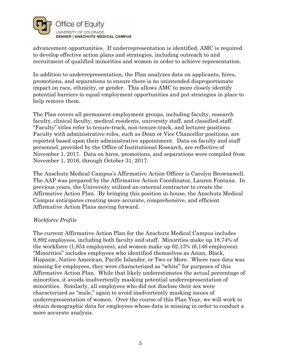

advancement opportunities. If underrepresentation is identified, AMC is required to develop effective action plans and strategies, including outreach to and recruitment of qualified minorities and women in order to achieve representation.

In addition to underrepresentation, the Plan analyzes data on applicants, hires, promotions, and separations to ensure there is no unintended disproportionate impact on race, ethnicity, or gender. This allows AMC to more closely identify potential barriers to equal employment opportunities and put strategies in place to help remove them.

The Plan covers all permanent employment groups, including faculty, research faculty, clinical faculty, medical residents, university staff, and classified staff. "Faculty" titles refer to tenure-track, non-tenure-track, and lecturer positions. Faculty with administrative roles, such as Dean or Vice Chancellor positions, are reported based upon their administrative appointment. Data on faculty and staff personnel, provided by the Office of Institutional Research, are reflective of November 1, 2017. Data on hires, promotions, and separations were compiled from November 1, 2016, through October 31, 2017.

The Anschutz Medical Campus's Affirmative Action Officer is Carolyn Brownawell. The AAP was prepared by the Affirmative Action Coordinator, Lauren Fontana. In previous years, the University utilized an external contractor to create the Affirmative Action Plan. By bringing this position in-house, the Anschutz Medical Campus anticipates creating more accurate, comprehensive, and efficient Affirmative Action Plans moving forward.

## *Workforce Profile*

The current Affirmative Action Plan for the Anschutz Medical Campus includes 9,892 employees, including both faculty and staff. Minorities make up 18.74% of the workforce (1,854 employees), and women make up 62.13% (6,146 employees). "Minorities" includes employees who identified themselves as Asian, Black, Hispanic, Native American, Pacific Islander, or Two or More. Where race data was missing for employees, they were characterized as "white" for purposes of this Affirmative Action Plan. While that likely underestimates the actual percentage of minorities, it avoids inadvertently masking potential underrepresentation of minorities. Similarly, all employees who did not disclose their sex were characterized as "male," again to avoid inadvertently masking issues of underrepresentation of women. Over the course of this Plan Year, we will work to obtain demographic data for employees whose data is missing in order to conduct a more accurate analysis.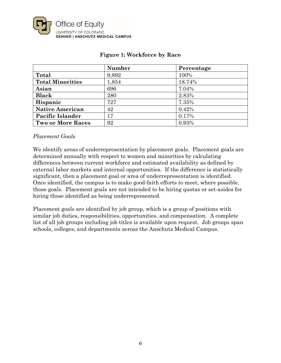

|                          | Number | Percentage |
|--------------------------|--------|------------|
| Total                    | 9,892  | 100%       |
| <b>Total Minorities</b>  | 1,854  | 18.74%     |
| Asian                    | 696    | 7.04%      |
| <b>Black</b>             | 280    | 2.83%      |
| Hispanic                 | 727    | 7.35%      |
| <b>Native American</b>   | 42     | 0.42%      |
| Pacific Islander         | 17     | 0.17%      |
| <b>Two or More Races</b> | 92     | 0.93%      |

# **Figure 1: Workforce by Race**

## *Placement Goals*

We identify areas of underrepresentation by placement goals. Placement goals are determined annually with respect to women and minorities by calculating differences between current workforce and estimated availability as defined by external labor markets and internal opportunities. If the difference is statistically significant, then a placement goal or area of underrepresentation is identified. Once identified, the campus is to make good-faith efforts to meet, where possible, those goals. Placement goals are not intended to be hiring quotas or set-asides for hiring those identified as being underrepresented.

Placement goals are identified by job group, which is a group of positions with similar job duties, responsibilities, opportunities, and compensation. A complete list of all job groups including job titles is available upon request. Job groups span schools, colleges, and departments across the Anschutz Medical Campus.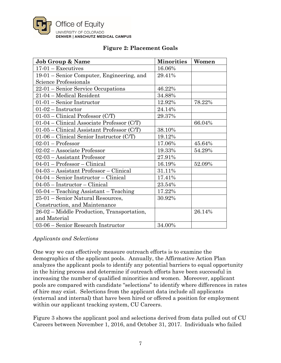

| <b>Job Group &amp; Name</b>                  | <b>Minorities</b> | Women  |
|----------------------------------------------|-------------------|--------|
| $17-01$ – Executives                         | 16.06%            |        |
| 19-01 – Senior Computer, Engineering, and    | 29.41%            |        |
| Science Professionals                        |                   |        |
| $22-01$ – Senior Service Occupations         | 46.22%            |        |
| 21-04 - Medical Resident                     | 34.88%            |        |
| $01-01$ – Senior Instructor                  | 12.92%            | 78.22% |
| $01-02$ – Instructor                         | 24.14%            |        |
| $01-03$ – Clinical Professor (C/T)           | 29.37%            |        |
| $01-04$ – Clinical Associate Professor (C/T) |                   | 66.04% |
| $01-05$ – Clinical Assistant Professor (C/T) | 38.10%            |        |
| $01-06$ – Clinical Senior Instructor (C/T)   | 19.12%            |        |
| $02-01$ – Professor                          | 17.06%            | 45.64% |
| 02-02 - Associate Professor                  | 19.33%            | 54.29% |
| 02-03 - Assistant Professor                  | 27.91%            |        |
| $04-01$ – Professor – Clinical               | 16.19%            | 52.09% |
| 04-03 - Assistant Professor - Clinical       | 31.11%            |        |
| $04-04$ – Senior Instructor – Clinical       | 17.41%            |        |
| $04-05$ – Instructor – Clinical              | 23.54%            |        |
| $05-04$ – Teaching Assistant – Teaching      | 17.22%            |        |
| 25-01 – Senior Natural Resources,            | 30.92%            |        |
| Construction, and Maintenance                |                   |        |
| 26-02 – Middle Production, Transportation,   |                   | 26.14% |
| and Material                                 |                   |        |
| 03-06 – Senior Research Instructor           | 34.00%            |        |

# **Figure 2: Placement Goals**

## *Applicants and Selections*

One way we can effectively measure outreach efforts is to examine the demographics of the applicant pools. Annually, the Affirmative Action Plan analyzes the applicant pools to identify any potential barriers to equal opportunity in the hiring process and determine if outreach efforts have been successful in increasing the number of qualified minorities and women. Moreover, applicant pools are compared with candidate "selections" to identify where differences in rates of hire may exist. Selections from the applicant data include all applicants (external and internal) that have been hired or offered a position for employment within our applicant tracking system, CU Careers.

Figure 3 shows the applicant pool and selections derived from data pulled out of CU Careers between November 1, 2016, and October 31, 2017. Individuals who failed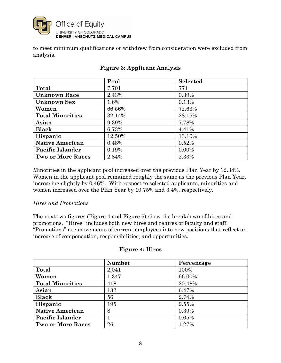

to meet minimum qualifications or withdrew from consideration were excluded from analysis.

|                          | Pool   | <b>Selected</b> |
|--------------------------|--------|-----------------|
| Total                    | 7,701  | 771             |
| <b>Unknown Race</b>      | 2.43%  | 0.39%           |
| <b>Unknown Sex</b>       | 1.6%   | 0.13%           |
| Women                    | 66.56% | 72.63%          |
| <b>Total Minorities</b>  | 32.14% | 28.15%          |
| Asian                    | 9.39%  | 7.78%           |
| <b>Black</b>             | 6.73%  | 4.41%           |
| Hispanic                 | 12.50% | 13.10%          |
| <b>Native American</b>   | 0.48%  | 0.52%           |
| Pacific Islander         | 0.19%  | $0.00\%$        |
| <b>Two or More Races</b> | 2.84%  | 2.33%           |

# **Figure 3: Applicant Analysis**

Minorities in the applicant pool increased over the previous Plan Year by 12.34%. Women in the applicant pool remained roughly the same as the previous Plan Year, increasing slightly by 0.46%. With respect to selected applicants, minorities and women increased over the Plan Year by 10.75% and 3.4%, respectively.

## *Hires and Promotions*

The next two figures (Figure 4 and Figure 5) show the breakdown of hires and promotions. "Hires" includes both new hires and rehires of faculty and staff. "Promotions" are movements of current employees into new positions that reflect an increase of compensation, responsibilities, and opportunities.

## **Figure 4: Hires**

|                          | <b>Number</b> | Percentage |
|--------------------------|---------------|------------|
| Total                    | 2,041         | 100%       |
| Women                    | 1.347         | 66.00%     |
| <b>Total Minorities</b>  | 418           | 20.48%     |
| Asian                    | 132           | 6.47%      |
| <b>Black</b>             | 56            | 2.74%      |
| Hispanic                 | 195           | 9.55%      |
| <b>Native American</b>   | 8             | 0.39%      |
| Pacific Islander         |               | 0.05%      |
| <b>Two or More Races</b> | 26            | 1.27%      |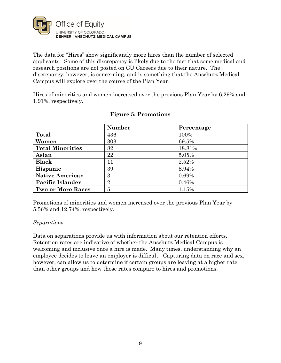

The data for "Hires" show significantly more hires than the number of selected applicants. Some of this discrepancy is likely due to the fact that some medical and research positions are not posted on CU Careers due to their nature. The discrepancy, however, is concerning, and is something that the Anschutz Medical Campus will explore over the course of the Plan Year.

Hires of minorities and women increased over the previous Plan Year by 6.29% and 1.91%, respectively.

|                          | <b>Number</b>  | Percentage |
|--------------------------|----------------|------------|
| Total                    | 436            | 100%       |
| Women                    | 303            | 69.5%      |
| <b>Total Minorities</b>  | 82             | 18.81%     |
| Asian                    | 22             | 5.05%      |
| <b>Black</b>             | 11             | 2.52%      |
| Hispanic                 | 39             | 8.94%      |
| <b>Native American</b>   | 3              | 0.69%      |
| <b>Pacific Islander</b>  | $\overline{2}$ | 0.46%      |
| <b>Two or More Races</b> | 5              | 1.15%      |

## **Figure 5: Promotions**

Promotions of minorities and women increased over the previous Plan Year by 5.56% and 12.74%, respectively.

## *Separations*

Data on separations provide us with information about our retention efforts. Retention rates are indicative of whether the Anschutz Medical Campus is welcoming and inclusive once a hire is made. Many times, understanding why an employee decides to leave an employer is difficult. Capturing data on race and sex, however, can allow us to determine if certain groups are leaving at a higher rate than other groups and how those rates compare to hires and promotions.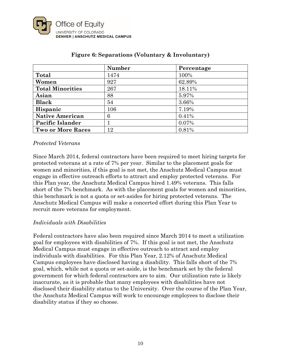

|                          | <b>Number</b> | Percentage |
|--------------------------|---------------|------------|
| Total                    | 1474          | 100%       |
| Women                    | 927           | 62.89%     |
| <b>Total Minorities</b>  | 267           | 18.11%     |
| Asian                    | 88            | 5.97%      |
| <b>Black</b>             | 54            | 3.66%      |
| Hispanic                 | 106           | 7.19%      |
| <b>Native American</b>   | 6             | 0.41%      |
| Pacific Islander         |               | 0.07%      |
| <b>Two or More Races</b> | 12            | 0.81%      |

## **Figure 6: Separations (Voluntary & Involuntary)**

## *Protected Veterans*

Since March 2014, federal contractors have been required to meet hiring targets for protected veterans at a rate of 7% per year. Similar to the placement goals for women and minorities, if this goal is not met, the Anschutz Medical Campus must engage in effective outreach efforts to attract and employ protected veterans. For this Plan year, the Anschutz Medical Campus hired 1.49% veterans. This falls short of the 7% benchmark. As with the placement goals for women and minorities, this benchmark is not a quota or set-asides for hiring protected veterans. The Anschutz Medical Campus will make a concerted effort during this Plan Year to recruit more veterans for employment.

## *Individuals with Disabilities*

Federal contractors have also been required since March 2014 to meet a utilization goal for employees with disabilities of 7%. If this goal is not met, the Anschutz Medical Campus must engage in effective outreach to attract and employ individuals with disabilities. For this Plan Year, 2.12% of Anschutz Medical Campus employees have disclosed having a disability. This falls short of the 7% goal, which, while not a quota or set-aside, is the benchmark set by the federal government for which federal contractors are to aim. Our utilization rate is likely inaccurate, as it is probable that many employees with disabilities have not disclosed their disability status to the University. Over the course of the Plan Year, the Anschutz Medical Campus will work to encourage employees to disclose their disability status if they so choose.